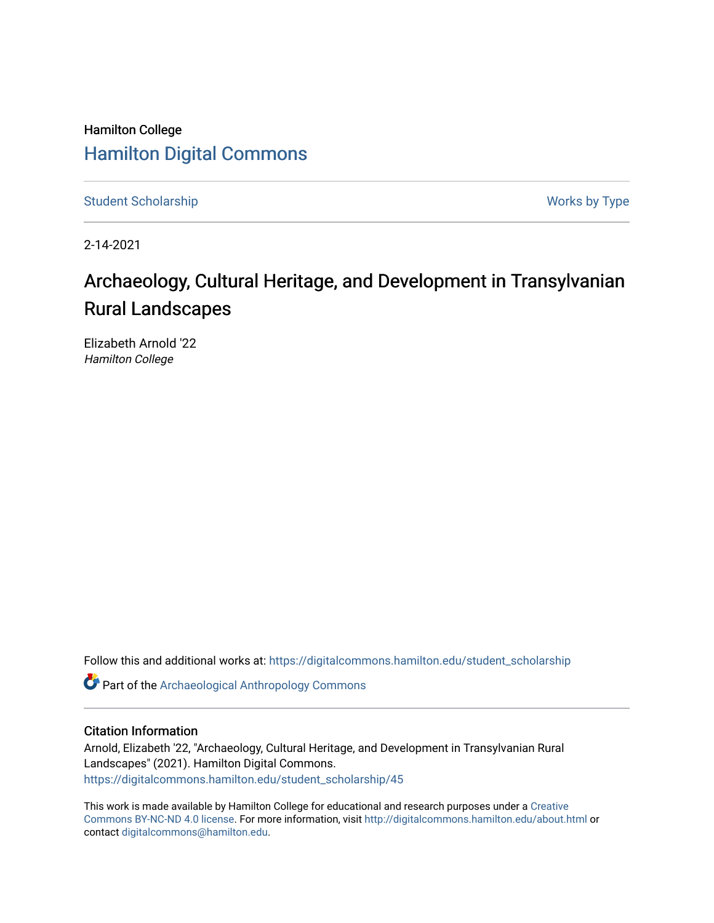## Hamilton College [Hamilton Digital Commons](https://digitalcommons.hamilton.edu/)

[Student Scholarship](https://digitalcommons.hamilton.edu/student_scholarship) Works by Type

2-14-2021

# Archaeology, Cultural Heritage, and Development in Transylvanian Rural Landscapes

Elizabeth Arnold '22 Hamilton College

Follow this and additional works at: [https://digitalcommons.hamilton.edu/student\\_scholarship](https://digitalcommons.hamilton.edu/student_scholarship?utm_source=digitalcommons.hamilton.edu%2Fstudent_scholarship%2F45&utm_medium=PDF&utm_campaign=PDFCoverPages) 

Part of the [Archaeological Anthropology Commons](http://network.bepress.com/hgg/discipline/319?utm_source=digitalcommons.hamilton.edu%2Fstudent_scholarship%2F45&utm_medium=PDF&utm_campaign=PDFCoverPages)

#### Citation Information

Arnold, Elizabeth '22, "Archaeology, Cultural Heritage, and Development in Transylvanian Rural Landscapes" (2021). Hamilton Digital Commons. [https://digitalcommons.hamilton.edu/student\\_scholarship/45](https://digitalcommons.hamilton.edu/student_scholarship/45?utm_source=digitalcommons.hamilton.edu%2Fstudent_scholarship%2F45&utm_medium=PDF&utm_campaign=PDFCoverPages)

This work is made available by Hamilton College for educational and research purposes under a [Creative](https://creativecommons.org/licenses/by-nc-nd/4.0/)  [Commons BY-NC-ND 4.0 license.](https://creativecommons.org/licenses/by-nc-nd/4.0/) For more information, visit <http://digitalcommons.hamilton.edu/about.html> or contact [digitalcommons@hamilton.edu.](mailto:digitalcommons@hamilton.edu)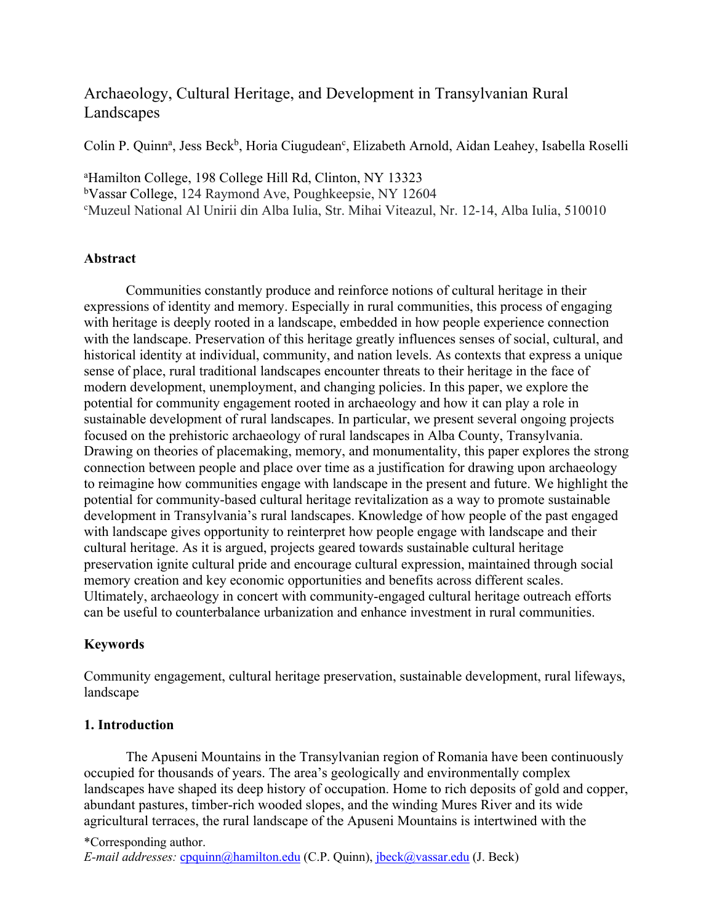### Archaeology, Cultural Heritage, and Development in Transylvanian Rural Landscapes

Colin P. Quinn<sup>a</sup>, Jess Beck<sup>b</sup>, Horia Ciugudean<sup>c</sup>, Elizabeth Arnold, Aidan Leahey, Isabella Roselli

a Hamilton College, 198 College Hill Rd, Clinton, NY 13323 b Vassar College, 124 Raymond Ave, Poughkeepsie, NY 12604 c Muzeul National Al Unirii din Alba Iulia, Str. Mihai Viteazul, Nr. 12-14, Alba Iulia, 510010

#### **Abstract**

Communities constantly produce and reinforce notions of cultural heritage in their expressions of identity and memory. Especially in rural communities, this process of engaging with heritage is deeply rooted in a landscape, embedded in how people experience connection with the landscape. Preservation of this heritage greatly influences senses of social, cultural, and historical identity at individual, community, and nation levels. As contexts that express a unique sense of place, rural traditional landscapes encounter threats to their heritage in the face of modern development, unemployment, and changing policies. In this paper, we explore the potential for community engagement rooted in archaeology and how it can play a role in sustainable development of rural landscapes. In particular, we present several ongoing projects focused on the prehistoric archaeology of rural landscapes in Alba County, Transylvania. Drawing on theories of placemaking, memory, and monumentality, this paper explores the strong connection between people and place over time as a justification for drawing upon archaeology to reimagine how communities engage with landscape in the present and future. We highlight the potential for community-based cultural heritage revitalization as a way to promote sustainable development in Transylvania's rural landscapes. Knowledge of how people of the past engaged with landscape gives opportunity to reinterpret how people engage with landscape and their cultural heritage. As it is argued, projects geared towards sustainable cultural heritage preservation ignite cultural pride and encourage cultural expression, maintained through social memory creation and key economic opportunities and benefits across different scales. Ultimately, archaeology in concert with community-engaged cultural heritage outreach efforts can be useful to counterbalance urbanization and enhance investment in rural communities.

#### **Keywords**

Community engagement, cultural heritage preservation, sustainable development, rural lifeways, landscape

#### **1. Introduction**

The Apuseni Mountains in the Transylvanian region of Romania have been continuously occupied for thousands of years. The area's geologically and environmentally complex landscapes have shaped its deep history of occupation. Home to rich deposits of gold and copper, abundant pastures, timber-rich wooded slopes, and the winding Mures River and its wide agricultural terraces, the rural landscape of the Apuseni Mountains is intertwined with the

\*Corresponding author. *E-mail addresses:* cpquinn@hamilton.edu (C.P. Quinn), jbeck@vassar.edu (J. Beck)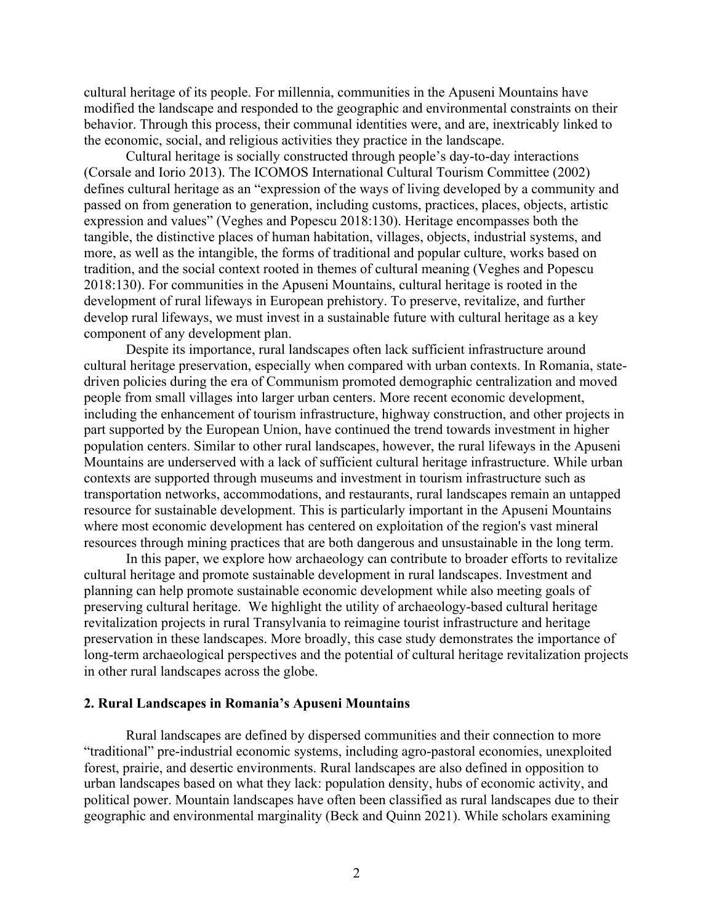cultural heritage of its people. For millennia, communities in the Apuseni Mountains have modified the landscape and responded to the geographic and environmental constraints on their behavior. Through this process, their communal identities were, and are, inextricably linked to the economic, social, and religious activities they practice in the landscape.

Cultural heritage is socially constructed through people's day-to-day interactions (Corsale and Iorio 2013). The ICOMOS International Cultural Tourism Committee (2002) defines cultural heritage as an "expression of the ways of living developed by a community and passed on from generation to generation, including customs, practices, places, objects, artistic expression and values" (Veghes and Popescu 2018:130). Heritage encompasses both the tangible, the distinctive places of human habitation, villages, objects, industrial systems, and more, as well as the intangible, the forms of traditional and popular culture, works based on tradition, and the social context rooted in themes of cultural meaning (Veghes and Popescu 2018:130). For communities in the Apuseni Mountains, cultural heritage is rooted in the development of rural lifeways in European prehistory. To preserve, revitalize, and further develop rural lifeways, we must invest in a sustainable future with cultural heritage as a key component of any development plan.

Despite its importance, rural landscapes often lack sufficient infrastructure around cultural heritage preservation, especially when compared with urban contexts. In Romania, statedriven policies during the era of Communism promoted demographic centralization and moved people from small villages into larger urban centers. More recent economic development, including the enhancement of tourism infrastructure, highway construction, and other projects in part supported by the European Union, have continued the trend towards investment in higher population centers. Similar to other rural landscapes, however, the rural lifeways in the Apuseni Mountains are underserved with a lack of sufficient cultural heritage infrastructure. While urban contexts are supported through museums and investment in tourism infrastructure such as transportation networks, accommodations, and restaurants, rural landscapes remain an untapped resource for sustainable development. This is particularly important in the Apuseni Mountains where most economic development has centered on exploitation of the region's vast mineral resources through mining practices that are both dangerous and unsustainable in the long term.

In this paper, we explore how archaeology can contribute to broader efforts to revitalize cultural heritage and promote sustainable development in rural landscapes. Investment and planning can help promote sustainable economic development while also meeting goals of preserving cultural heritage. We highlight the utility of archaeology-based cultural heritage revitalization projects in rural Transylvania to reimagine tourist infrastructure and heritage preservation in these landscapes. More broadly, this case study demonstrates the importance of long-term archaeological perspectives and the potential of cultural heritage revitalization projects in other rural landscapes across the globe.

#### **2. Rural Landscapes in Romania's Apuseni Mountains**

Rural landscapes are defined by dispersed communities and their connection to more "traditional" pre-industrial economic systems, including agro-pastoral economies, unexploited forest, prairie, and desertic environments. Rural landscapes are also defined in opposition to urban landscapes based on what they lack: population density, hubs of economic activity, and political power. Mountain landscapes have often been classified as rural landscapes due to their geographic and environmental marginality (Beck and Quinn 2021). While scholars examining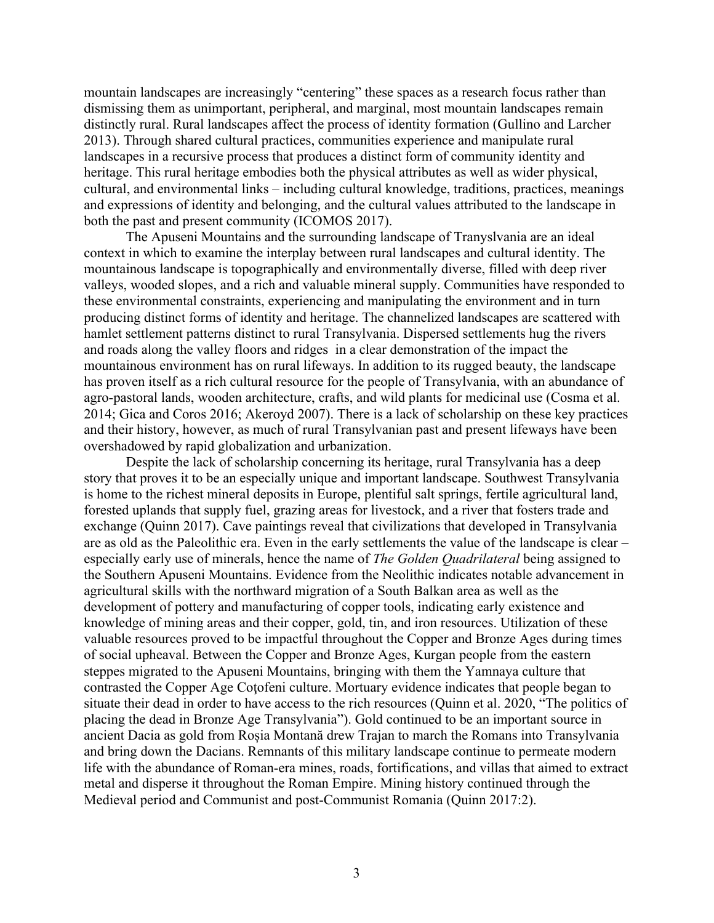mountain landscapes are increasingly "centering" these spaces as a research focus rather than dismissing them as unimportant, peripheral, and marginal, most mountain landscapes remain distinctly rural. Rural landscapes affect the process of identity formation (Gullino and Larcher 2013). Through shared cultural practices, communities experience and manipulate rural landscapes in a recursive process that produces a distinct form of community identity and heritage. This rural heritage embodies both the physical attributes as well as wider physical, cultural, and environmental links – including cultural knowledge, traditions, practices, meanings and expressions of identity and belonging, and the cultural values attributed to the landscape in both the past and present community (ICOMOS 2017).

The Apuseni Mountains and the surrounding landscape of Tranyslvania are an ideal context in which to examine the interplay between rural landscapes and cultural identity. The mountainous landscape is topographically and environmentally diverse, filled with deep river valleys, wooded slopes, and a rich and valuable mineral supply. Communities have responded to these environmental constraints, experiencing and manipulating the environment and in turn producing distinct forms of identity and heritage. The channelized landscapes are scattered with hamlet settlement patterns distinct to rural Transylvania. Dispersed settlements hug the rivers and roads along the valley floors and ridges in a clear demonstration of the impact the mountainous environment has on rural lifeways. In addition to its rugged beauty, the landscape has proven itself as a rich cultural resource for the people of Transylvania, with an abundance of agro-pastoral lands, wooden architecture, crafts, and wild plants for medicinal use (Cosma et al. 2014; Gica and Coros 2016; Akeroyd 2007). There is a lack of scholarship on these key practices and their history, however, as much of rural Transylvanian past and present lifeways have been overshadowed by rapid globalization and urbanization.

Despite the lack of scholarship concerning its heritage, rural Transylvania has a deep story that proves it to be an especially unique and important landscape. Southwest Transylvania is home to the richest mineral deposits in Europe, plentiful salt springs, fertile agricultural land, forested uplands that supply fuel, grazing areas for livestock, and a river that fosters trade and exchange (Quinn 2017). Cave paintings reveal that civilizations that developed in Transylvania are as old as the Paleolithic era. Even in the early settlements the value of the landscape is clear – especially early use of minerals, hence the name of *The Golden Quadrilateral* being assigned to the Southern Apuseni Mountains. Evidence from the Neolithic indicates notable advancement in agricultural skills with the northward migration of a South Balkan area as well as the development of pottery and manufacturing of copper tools, indicating early existence and knowledge of mining areas and their copper, gold, tin, and iron resources. Utilization of these valuable resources proved to be impactful throughout the Copper and Bronze Ages during times of social upheaval. Between the Copper and Bronze Ages, Kurgan people from the eastern steppes migrated to the Apuseni Mountains, bringing with them the Yamnaya culture that contrasted the Copper Age Coţofeni culture. Mortuary evidence indicates that people began to situate their dead in order to have access to the rich resources (Quinn et al. 2020, "The politics of placing the dead in Bronze Age Transylvania"). Gold continued to be an important source in ancient Dacia as gold from Roșia Montană drew Trajan to march the Romans into Transylvania and bring down the Dacians. Remnants of this military landscape continue to permeate modern life with the abundance of Roman-era mines, roads, fortifications, and villas that aimed to extract metal and disperse it throughout the Roman Empire. Mining history continued through the Medieval period and Communist and post-Communist Romania (Quinn 2017:2).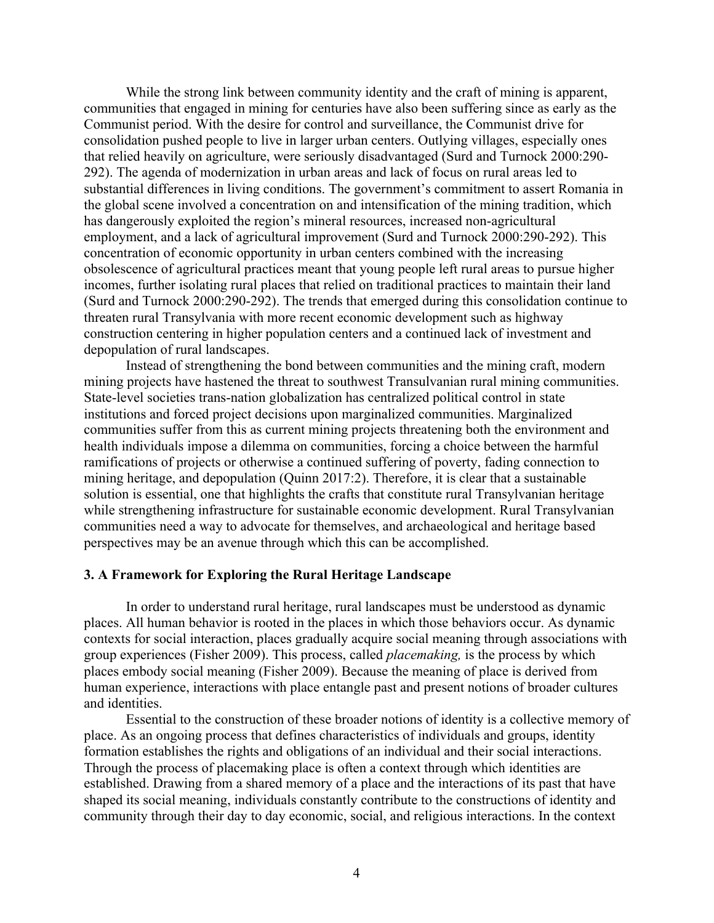While the strong link between community identity and the craft of mining is apparent, communities that engaged in mining for centuries have also been suffering since as early as the Communist period. With the desire for control and surveillance, the Communist drive for consolidation pushed people to live in larger urban centers. Outlying villages, especially ones that relied heavily on agriculture, were seriously disadvantaged (Surd and Turnock 2000:290- 292). The agenda of modernization in urban areas and lack of focus on rural areas led to substantial differences in living conditions. The government's commitment to assert Romania in the global scene involved a concentration on and intensification of the mining tradition, which has dangerously exploited the region's mineral resources, increased non-agricultural employment, and a lack of agricultural improvement (Surd and Turnock 2000:290-292). This concentration of economic opportunity in urban centers combined with the increasing obsolescence of agricultural practices meant that young people left rural areas to pursue higher incomes, further isolating rural places that relied on traditional practices to maintain their land (Surd and Turnock 2000:290-292). The trends that emerged during this consolidation continue to threaten rural Transylvania with more recent economic development such as highway construction centering in higher population centers and a continued lack of investment and depopulation of rural landscapes.

Instead of strengthening the bond between communities and the mining craft, modern mining projects have hastened the threat to southwest Transulvanian rural mining communities. State-level societies trans-nation globalization has centralized political control in state institutions and forced project decisions upon marginalized communities. Marginalized communities suffer from this as current mining projects threatening both the environment and health individuals impose a dilemma on communities, forcing a choice between the harmful ramifications of projects or otherwise a continued suffering of poverty, fading connection to mining heritage, and depopulation (Quinn 2017:2). Therefore, it is clear that a sustainable solution is essential, one that highlights the crafts that constitute rural Transylvanian heritage while strengthening infrastructure for sustainable economic development. Rural Transylvanian communities need a way to advocate for themselves, and archaeological and heritage based perspectives may be an avenue through which this can be accomplished.

#### **3. A Framework for Exploring the Rural Heritage Landscape**

In order to understand rural heritage, rural landscapes must be understood as dynamic places. All human behavior is rooted in the places in which those behaviors occur. As dynamic contexts for social interaction, places gradually acquire social meaning through associations with group experiences (Fisher 2009). This process, called *placemaking,* is the process by which places embody social meaning (Fisher 2009). Because the meaning of place is derived from human experience, interactions with place entangle past and present notions of broader cultures and identities.

Essential to the construction of these broader notions of identity is a collective memory of place. As an ongoing process that defines characteristics of individuals and groups, identity formation establishes the rights and obligations of an individual and their social interactions. Through the process of placemaking place is often a context through which identities are established. Drawing from a shared memory of a place and the interactions of its past that have shaped its social meaning, individuals constantly contribute to the constructions of identity and community through their day to day economic, social, and religious interactions. In the context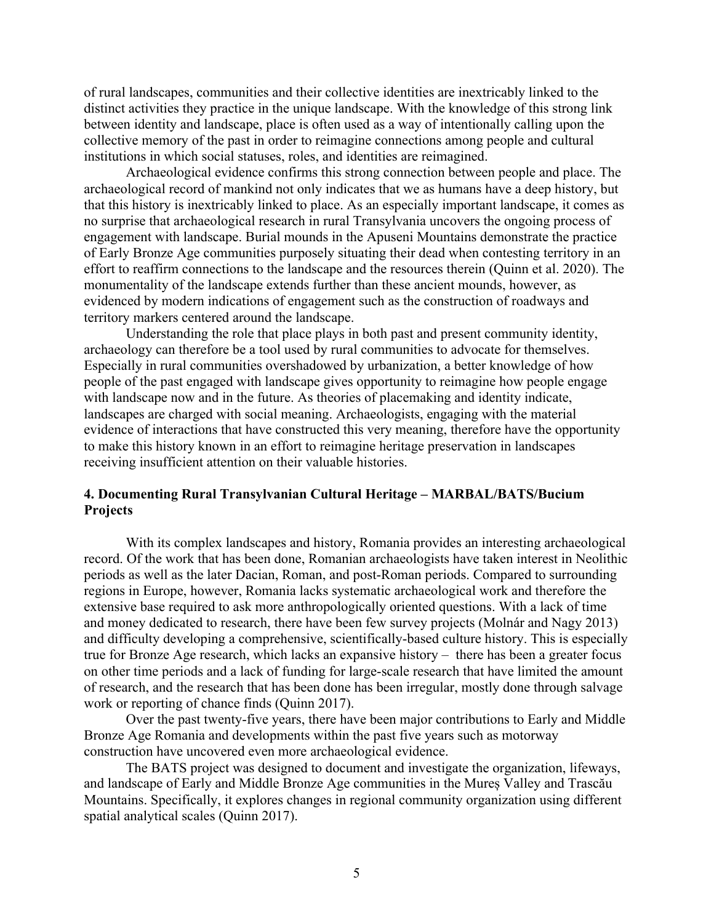of rural landscapes, communities and their collective identities are inextricably linked to the distinct activities they practice in the unique landscape. With the knowledge of this strong link between identity and landscape, place is often used as a way of intentionally calling upon the collective memory of the past in order to reimagine connections among people and cultural institutions in which social statuses, roles, and identities are reimagined.

Archaeological evidence confirms this strong connection between people and place. The archaeological record of mankind not only indicates that we as humans have a deep history, but that this history is inextricably linked to place. As an especially important landscape, it comes as no surprise that archaeological research in rural Transylvania uncovers the ongoing process of engagement with landscape. Burial mounds in the Apuseni Mountains demonstrate the practice of Early Bronze Age communities purposely situating their dead when contesting territory in an effort to reaffirm connections to the landscape and the resources therein (Quinn et al. 2020). The monumentality of the landscape extends further than these ancient mounds, however, as evidenced by modern indications of engagement such as the construction of roadways and territory markers centered around the landscape.

Understanding the role that place plays in both past and present community identity, archaeology can therefore be a tool used by rural communities to advocate for themselves. Especially in rural communities overshadowed by urbanization, a better knowledge of how people of the past engaged with landscape gives opportunity to reimagine how people engage with landscape now and in the future. As theories of placemaking and identity indicate, landscapes are charged with social meaning. Archaeologists, engaging with the material evidence of interactions that have constructed this very meaning, therefore have the opportunity to make this history known in an effort to reimagine heritage preservation in landscapes receiving insufficient attention on their valuable histories.

#### **4. Documenting Rural Transylvanian Cultural Heritage – MARBAL/BATS/Bucium Projects**

With its complex landscapes and history, Romania provides an interesting archaeological record. Of the work that has been done, Romanian archaeologists have taken interest in Neolithic periods as well as the later Dacian, Roman, and post-Roman periods. Compared to surrounding regions in Europe, however, Romania lacks systematic archaeological work and therefore the extensive base required to ask more anthropologically oriented questions. With a lack of time and money dedicated to research, there have been few survey projects (Molnár and Nagy 2013) and difficulty developing a comprehensive, scientifically-based culture history. This is especially true for Bronze Age research, which lacks an expansive history – there has been a greater focus on other time periods and a lack of funding for large-scale research that have limited the amount of research, and the research that has been done has been irregular, mostly done through salvage work or reporting of chance finds (Quinn 2017).

Over the past twenty-five years, there have been major contributions to Early and Middle Bronze Age Romania and developments within the past five years such as motorway construction have uncovered even more archaeological evidence.

The BATS project was designed to document and investigate the organization, lifeways, and landscape of Early and Middle Bronze Age communities in the Mureș Valley and Trascău Mountains. Specifically, it explores changes in regional community organization using different spatial analytical scales (Quinn 2017).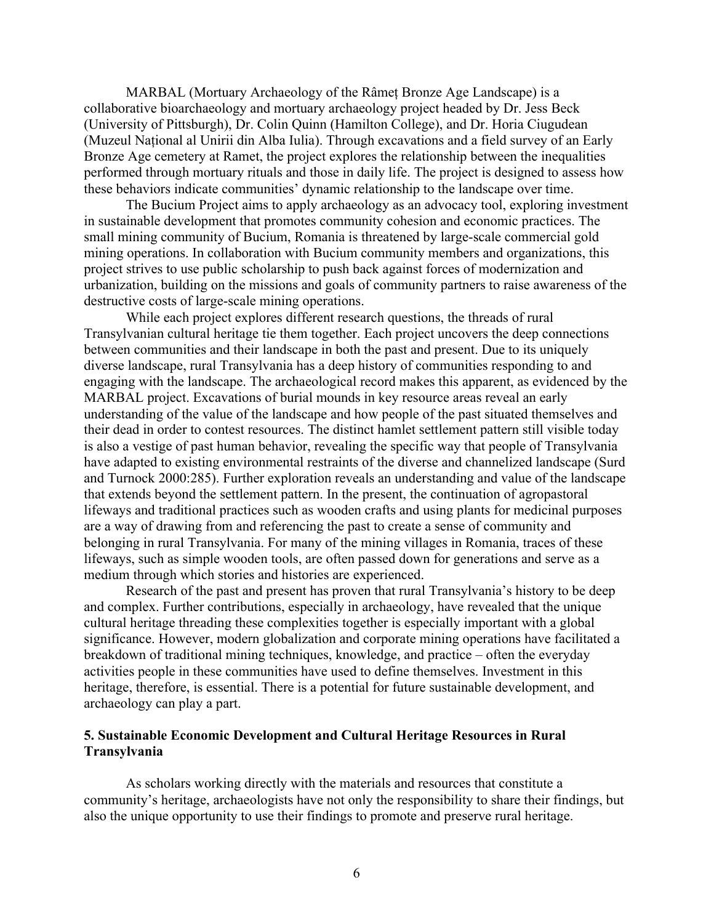MARBAL (Mortuary Archaeology of the Râmeț Bronze Age Landscape) is a collaborative bioarchaeology and mortuary archaeology project headed by Dr. Jess Beck (University of Pittsburgh), Dr. Colin Quinn (Hamilton College), and Dr. Horia Ciugudean (Muzeul Național al Unirii din Alba Iulia). Through excavations and a field survey of an Early Bronze Age cemetery at Ramet, the project explores the relationship between the inequalities performed through mortuary rituals and those in daily life. The project is designed to assess how these behaviors indicate communities' dynamic relationship to the landscape over time.

The Bucium Project aims to apply archaeology as an advocacy tool, exploring investment in sustainable development that promotes community cohesion and economic practices. The small mining community of Bucium, Romania is threatened by large-scale commercial gold mining operations. In collaboration with Bucium community members and organizations, this project strives to use public scholarship to push back against forces of modernization and urbanization, building on the missions and goals of community partners to raise awareness of the destructive costs of large-scale mining operations.

While each project explores different research questions, the threads of rural Transylvanian cultural heritage tie them together. Each project uncovers the deep connections between communities and their landscape in both the past and present. Due to its uniquely diverse landscape, rural Transylvania has a deep history of communities responding to and engaging with the landscape. The archaeological record makes this apparent, as evidenced by the MARBAL project. Excavations of burial mounds in key resource areas reveal an early understanding of the value of the landscape and how people of the past situated themselves and their dead in order to contest resources. The distinct hamlet settlement pattern still visible today is also a vestige of past human behavior, revealing the specific way that people of Transylvania have adapted to existing environmental restraints of the diverse and channelized landscape (Surd and Turnock 2000:285). Further exploration reveals an understanding and value of the landscape that extends beyond the settlement pattern. In the present, the continuation of agropastoral lifeways and traditional practices such as wooden crafts and using plants for medicinal purposes are a way of drawing from and referencing the past to create a sense of community and belonging in rural Transylvania. For many of the mining villages in Romania, traces of these lifeways, such as simple wooden tools, are often passed down for generations and serve as a medium through which stories and histories are experienced.

Research of the past and present has proven that rural Transylvania's history to be deep and complex. Further contributions, especially in archaeology, have revealed that the unique cultural heritage threading these complexities together is especially important with a global significance. However, modern globalization and corporate mining operations have facilitated a breakdown of traditional mining techniques, knowledge, and practice – often the everyday activities people in these communities have used to define themselves. Investment in this heritage, therefore, is essential. There is a potential for future sustainable development, and archaeology can play a part.

#### **5. Sustainable Economic Development and Cultural Heritage Resources in Rural Transylvania**

As scholars working directly with the materials and resources that constitute a community's heritage, archaeologists have not only the responsibility to share their findings, but also the unique opportunity to use their findings to promote and preserve rural heritage.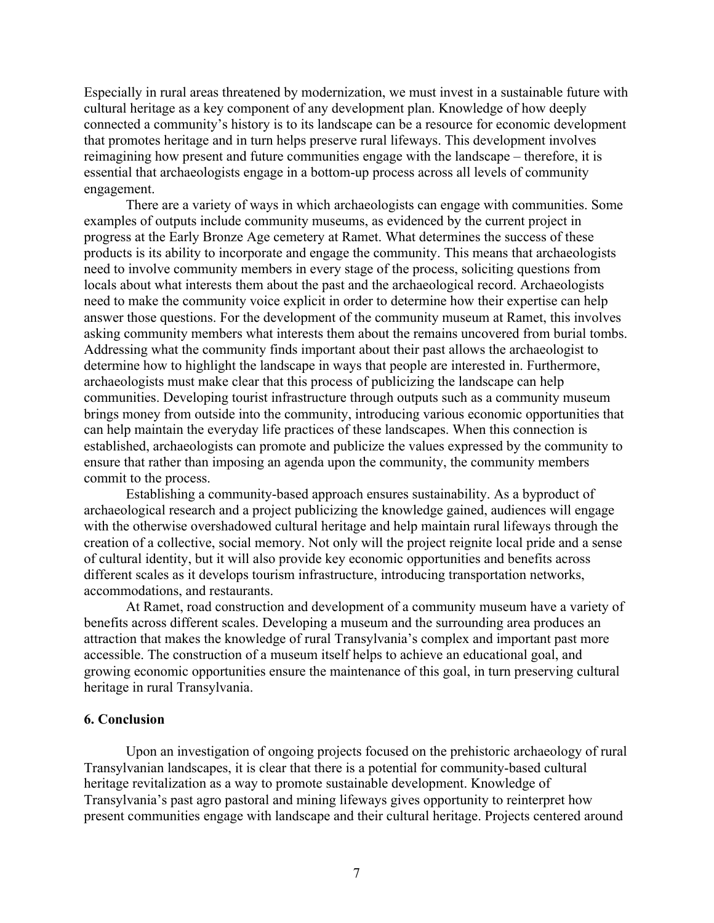Especially in rural areas threatened by modernization, we must invest in a sustainable future with cultural heritage as a key component of any development plan. Knowledge of how deeply connected a community's history is to its landscape can be a resource for economic development that promotes heritage and in turn helps preserve rural lifeways. This development involves reimagining how present and future communities engage with the landscape – therefore, it is essential that archaeologists engage in a bottom-up process across all levels of community engagement.

There are a variety of ways in which archaeologists can engage with communities. Some examples of outputs include community museums, as evidenced by the current project in progress at the Early Bronze Age cemetery at Ramet. What determines the success of these products is its ability to incorporate and engage the community. This means that archaeologists need to involve community members in every stage of the process, soliciting questions from locals about what interests them about the past and the archaeological record. Archaeologists need to make the community voice explicit in order to determine how their expertise can help answer those questions. For the development of the community museum at Ramet, this involves asking community members what interests them about the remains uncovered from burial tombs. Addressing what the community finds important about their past allows the archaeologist to determine how to highlight the landscape in ways that people are interested in. Furthermore, archaeologists must make clear that this process of publicizing the landscape can help communities. Developing tourist infrastructure through outputs such as a community museum brings money from outside into the community, introducing various economic opportunities that can help maintain the everyday life practices of these landscapes. When this connection is established, archaeologists can promote and publicize the values expressed by the community to ensure that rather than imposing an agenda upon the community, the community members commit to the process.

Establishing a community-based approach ensures sustainability. As a byproduct of archaeological research and a project publicizing the knowledge gained, audiences will engage with the otherwise overshadowed cultural heritage and help maintain rural lifeways through the creation of a collective, social memory. Not only will the project reignite local pride and a sense of cultural identity, but it will also provide key economic opportunities and benefits across different scales as it develops tourism infrastructure, introducing transportation networks, accommodations, and restaurants.

At Ramet, road construction and development of a community museum have a variety of benefits across different scales. Developing a museum and the surrounding area produces an attraction that makes the knowledge of rural Transylvania's complex and important past more accessible. The construction of a museum itself helps to achieve an educational goal, and growing economic opportunities ensure the maintenance of this goal, in turn preserving cultural heritage in rural Transylvania.

#### **6. Conclusion**

Upon an investigation of ongoing projects focused on the prehistoric archaeology of rural Transylvanian landscapes, it is clear that there is a potential for community-based cultural heritage revitalization as a way to promote sustainable development. Knowledge of Transylvania's past agro pastoral and mining lifeways gives opportunity to reinterpret how present communities engage with landscape and their cultural heritage. Projects centered around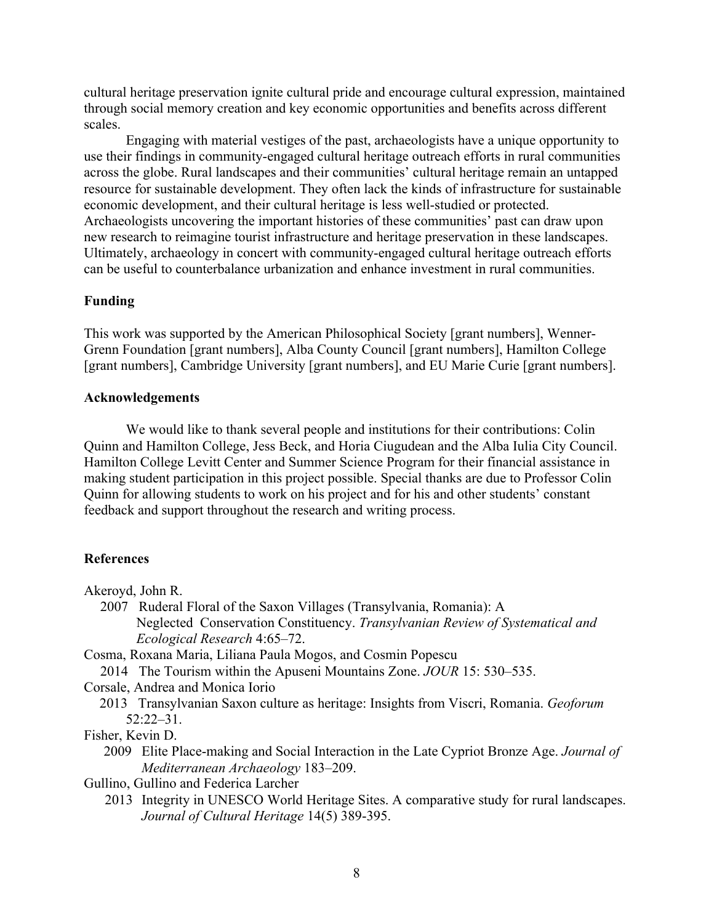cultural heritage preservation ignite cultural pride and encourage cultural expression, maintained through social memory creation and key economic opportunities and benefits across different scales.

Engaging with material vestiges of the past, archaeologists have a unique opportunity to use their findings in community-engaged cultural heritage outreach efforts in rural communities across the globe. Rural landscapes and their communities' cultural heritage remain an untapped resource for sustainable development. They often lack the kinds of infrastructure for sustainable economic development, and their cultural heritage is less well-studied or protected. Archaeologists uncovering the important histories of these communities' past can draw upon new research to reimagine tourist infrastructure and heritage preservation in these landscapes. Ultimately, archaeology in concert with community-engaged cultural heritage outreach efforts can be useful to counterbalance urbanization and enhance investment in rural communities.

#### **Funding**

This work was supported by the American Philosophical Society [grant numbers], Wenner-Grenn Foundation [grant numbers], Alba County Council [grant numbers], Hamilton College [grant numbers], Cambridge University [grant numbers], and EU Marie Curie [grant numbers].

#### **Acknowledgements**

We would like to thank several people and institutions for their contributions: Colin Quinn and Hamilton College, Jess Beck, and Horia Ciugudean and the Alba Iulia City Council. Hamilton College Levitt Center and Summer Science Program for their financial assistance in making student participation in this project possible. Special thanks are due to Professor Colin Quinn for allowing students to work on his project and for his and other students' constant feedback and support throughout the research and writing process.

#### **References**

Akeroyd, John R.

- 2007 Ruderal Floral of the Saxon Villages (Transylvania, Romania): A Neglected Conservation Constituency. *Transylvanian Review of Systematical and Ecological Research* 4:65–72.
- Cosma, Roxana Maria, Liliana Paula Mogos, and Cosmin Popescu
- 2014 The Tourism within the Apuseni Mountains Zone. *JOUR* 15: 530–535.

Corsale, Andrea and Monica Iorio

2013 Transylvanian Saxon culture as heritage: Insights from Viscri, Romania. *Geoforum* 52:22–31.

Fisher, Kevin D.

- 2009 Elite Place-making and Social Interaction in the Late Cypriot Bronze Age. *Journal of Mediterranean Archaeology* 183–209.
- Gullino, Gullino and Federica Larcher
	- 2013 Integrity in UNESCO World Heritage Sites. A comparative study for rural landscapes. *Journal of Cultural Heritage* 14(5) 389-395.